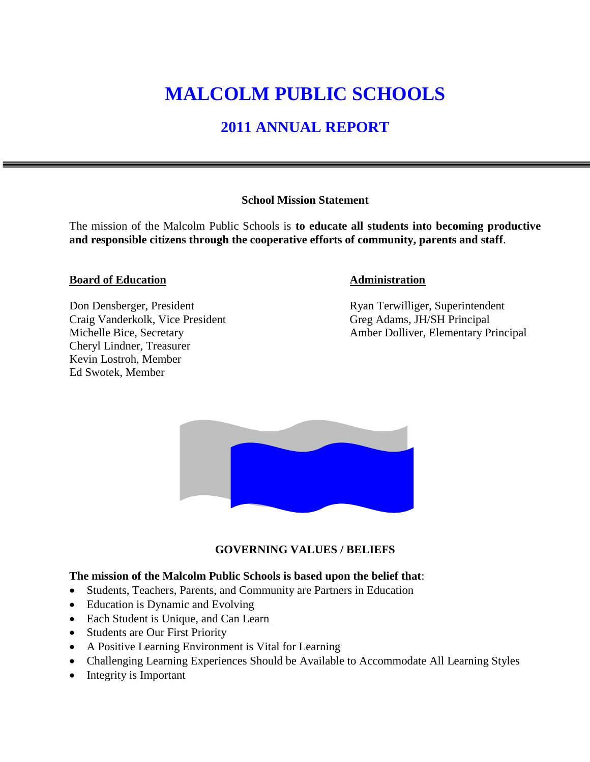# **MALCOLM PUBLIC SCHOOLS**

# **2011 ANNUAL REPORT**

#### **School Mission Statement**

The mission of the Malcolm Public Schools is **to educate all students into becoming productive and responsible citizens through the cooperative efforts of community, parents and staff**.

#### **Board of Education Administration**

Craig Vanderkolk, Vice President Greg Adams, JH/SH Principal Cheryl Lindner, Treasurer Kevin Lostroh, Member Ed Swotek, Member

Don Densberger, President Ryan Terwilliger, Superintendent Michelle Bice, Secretary **Amber Dolliver**, Elementary Principal



#### **GOVERNING VALUES / BELIEFS**

#### **The mission of the Malcolm Public Schools is based upon the belief that**:

- Students, Teachers, Parents, and Community are Partners in Education
- Education is Dynamic and Evolving
- Each Student is Unique, and Can Learn
- Students are Our First Priority
- A Positive Learning Environment is Vital for Learning
- Challenging Learning Experiences Should be Available to Accommodate All Learning Styles
- Integrity is Important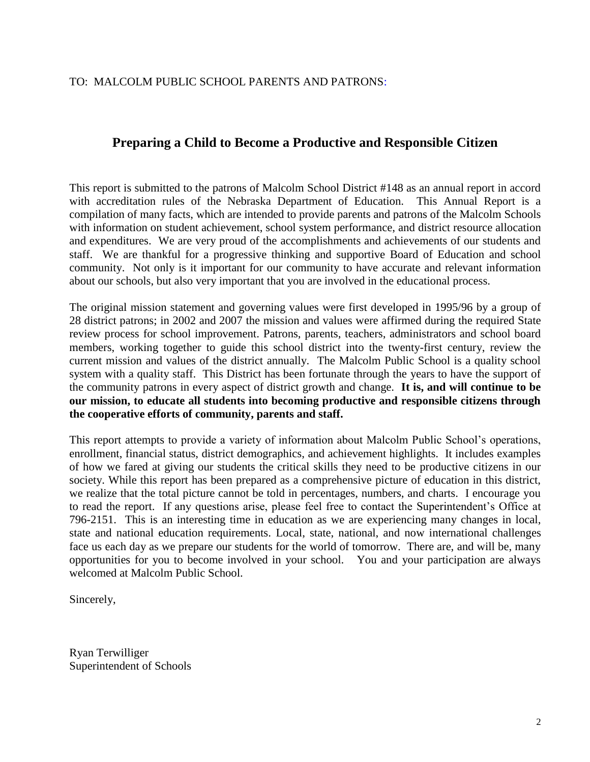#### TO: MALCOLM PUBLIC SCHOOL PARENTS AND PATRONS:

#### **Preparing a Child to Become a Productive and Responsible Citizen**

This report is submitted to the patrons of Malcolm School District #148 as an annual report in accord with accreditation rules of the Nebraska Department of Education. This Annual Report is a compilation of many facts, which are intended to provide parents and patrons of the Malcolm Schools with information on student achievement, school system performance, and district resource allocation and expenditures. We are very proud of the accomplishments and achievements of our students and staff. We are thankful for a progressive thinking and supportive Board of Education and school community. Not only is it important for our community to have accurate and relevant information about our schools, but also very important that you are involved in the educational process.

The original mission statement and governing values were first developed in 1995/96 by a group of 28 district patrons; in 2002 and 2007 the mission and values were affirmed during the required State review process for school improvement. Patrons, parents, teachers, administrators and school board members, working together to guide this school district into the twenty-first century, review the current mission and values of the district annually. The Malcolm Public School is a quality school system with a quality staff. This District has been fortunate through the years to have the support of the community patrons in every aspect of district growth and change. **It is, and will continue to be our mission, to educate all students into becoming productive and responsible citizens through the cooperative efforts of community, parents and staff.** 

This report attempts to provide a variety of information about Malcolm Public School's operations, enrollment, financial status, district demographics, and achievement highlights. It includes examples of how we fared at giving our students the critical skills they need to be productive citizens in our society. While this report has been prepared as a comprehensive picture of education in this district, we realize that the total picture cannot be told in percentages, numbers, and charts. I encourage you to read the report. If any questions arise, please feel free to contact the Superintendent's Office at 796-2151. This is an interesting time in education as we are experiencing many changes in local, state and national education requirements. Local, state, national, and now international challenges face us each day as we prepare our students for the world of tomorrow. There are, and will be, many opportunities for you to become involved in your school. You and your participation are always welcomed at Malcolm Public School.

Sincerely,

Ryan Terwilliger Superintendent of Schools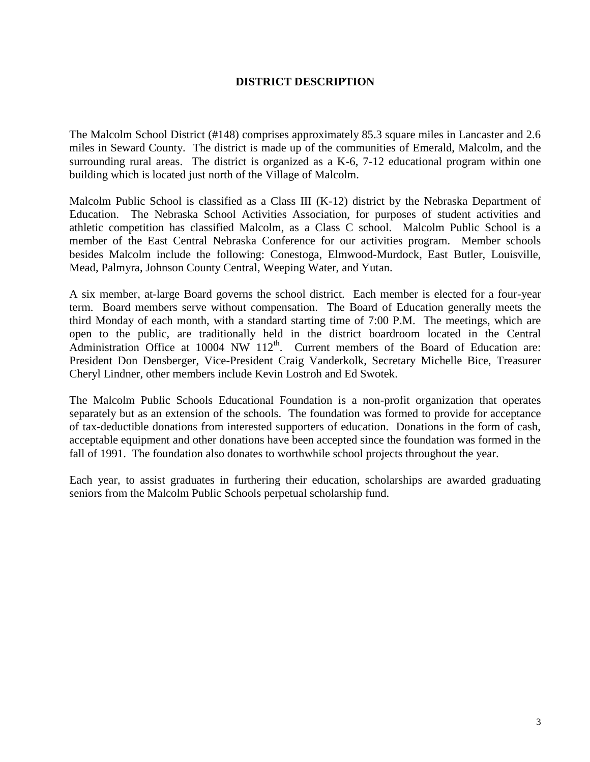#### **DISTRICT DESCRIPTION**

The Malcolm School District (#148) comprises approximately 85.3 square miles in Lancaster and 2.6 miles in Seward County. The district is made up of the communities of Emerald, Malcolm, and the surrounding rural areas. The district is organized as a K-6, 7-12 educational program within one building which is located just north of the Village of Malcolm.

Malcolm Public School is classified as a Class III (K-12) district by the Nebraska Department of Education. The Nebraska School Activities Association, for purposes of student activities and athletic competition has classified Malcolm, as a Class C school. Malcolm Public School is a member of the East Central Nebraska Conference for our activities program. Member schools besides Malcolm include the following: Conestoga, Elmwood-Murdock, East Butler, Louisville, Mead, Palmyra, Johnson County Central, Weeping Water, and Yutan.

A six member, at-large Board governs the school district. Each member is elected for a four-year term. Board members serve without compensation. The Board of Education generally meets the third Monday of each month, with a standard starting time of 7:00 P.M. The meetings, which are open to the public, are traditionally held in the district boardroom located in the Central Administration Office at  $10004$  NW  $112<sup>th</sup>$ . Current members of the Board of Education are: President Don Densberger, Vice-President Craig Vanderkolk, Secretary Michelle Bice, Treasurer Cheryl Lindner, other members include Kevin Lostroh and Ed Swotek.

The Malcolm Public Schools Educational Foundation is a non-profit organization that operates separately but as an extension of the schools. The foundation was formed to provide for acceptance of tax-deductible donations from interested supporters of education. Donations in the form of cash, acceptable equipment and other donations have been accepted since the foundation was formed in the fall of 1991. The foundation also donates to worthwhile school projects throughout the year.

Each year, to assist graduates in furthering their education, scholarships are awarded graduating seniors from the Malcolm Public Schools perpetual scholarship fund.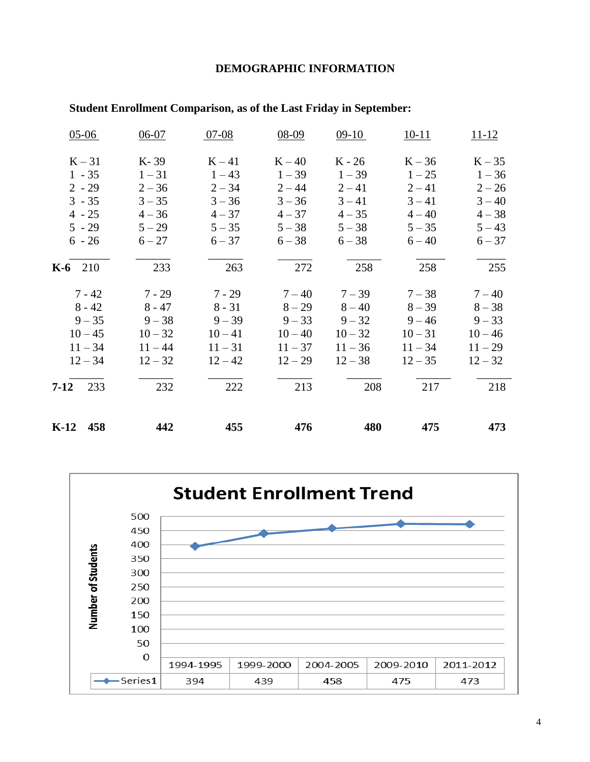#### **DEMOGRAPHIC INFORMATION**

| $05-06$     | $06-07$   | $07-08$   | 08-09     | $09-10$   | $10-11$   | $11 - 12$ |
|-------------|-----------|-----------|-----------|-----------|-----------|-----------|
| $K-31$      | K-39      | $K-41$    | $K - 40$  | $K - 26$  | $K - 36$  | $K-35$    |
| $1 - 35$    | $1 - 31$  | $1 - 43$  | $1 - 39$  | $1 - 39$  | $1 - 25$  | $1 - 36$  |
| $2 - 29$    | $2 - 36$  | $2 - 34$  | $2 - 44$  | $2 - 41$  | $2 - 41$  | $2 - 26$  |
| $3 - 35$    | $3 - 35$  | $3 - 36$  | $3 - 36$  | $3 - 41$  | $3 - 41$  | $3 - 40$  |
| $4 - 25$    | $4 - 36$  | $4 - 37$  | $4 - 37$  | $4 - 35$  | $4 - 40$  | $4 - 38$  |
| $5 - 29$    | $5 - 29$  | $5 - 35$  | $5 - 38$  | $5 - 38$  | $5 - 35$  | $5 - 43$  |
| $6 - 26$    | $6 - 27$  | $6 - 37$  | $6 - 38$  | $6 - 38$  | $6 - 40$  | $6 - 37$  |
| $K-6$ 210   | 233       | 263       | 272       | 258       | 258       | 255       |
| $7 - 42$    | $7 - 29$  | $7 - 29$  | $7 - 40$  | $7 - 39$  | $7 - 38$  | $7 - 40$  |
| $8 - 42$    | $8 - 47$  | $8 - 31$  | $8 - 29$  | $8 - 40$  | $8 - 39$  | $8 - 38$  |
| $9 - 35$    | $9 - 38$  | $9 - 39$  | $9 - 33$  | $9 - 32$  | $9 - 46$  | $9 - 33$  |
| $10 - 45$   | $10 - 32$ | $10 - 41$ | $10 - 40$ | $10 - 32$ | $10 - 31$ | $10 - 46$ |
| $11 - 34$   | $11 - 44$ | $11 - 31$ | $11 - 37$ | $11 - 36$ | $11 - 34$ | $11 - 29$ |
| $12 - 34$   | $12 - 32$ | $12 - 42$ | $12 - 29$ | $12 - 38$ | $12 - 35$ | $12 - 32$ |
| 7-12<br>233 | 232       | 222       | 213       | 208       | 217       | 218       |
| K-12<br>458 | 442       | 455       | 476       | 480       | 475       | 473       |

#### **Student Enrollment Comparison, as of the Last Friday in September:**

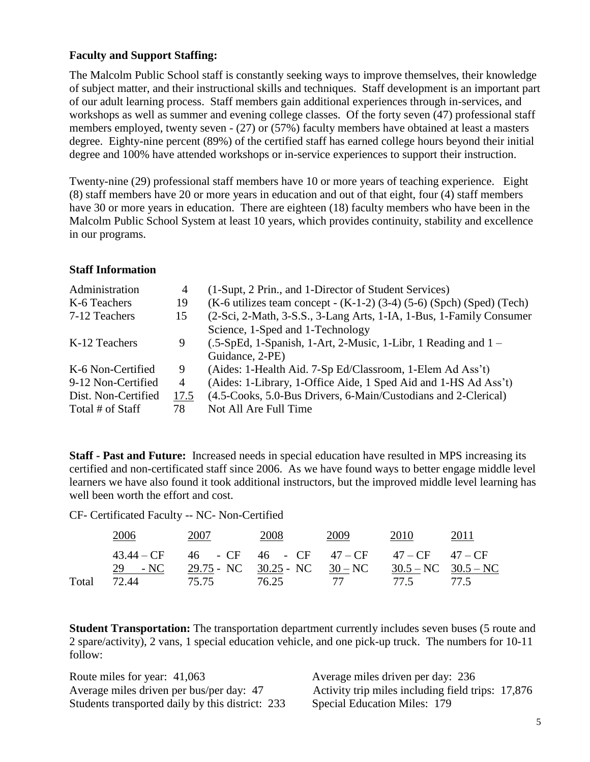#### **Faculty and Support Staffing:**

The Malcolm Public School staff is constantly seeking ways to improve themselves, their knowledge of subject matter, and their instructional skills and techniques. Staff development is an important part of our adult learning process. Staff members gain additional experiences through in-services, and workshops as well as summer and evening college classes. Of the forty seven (47) professional staff members employed, twenty seven - (27) or (57%) faculty members have obtained at least a masters degree. Eighty-nine percent (89%) of the certified staff has earned college hours beyond their initial degree and 100% have attended workshops or in-service experiences to support their instruction.

Twenty-nine (29) professional staff members have 10 or more years of teaching experience. Eight (8) staff members have 20 or more years in education and out of that eight, four (4) staff members have 30 or more years in education. There are eighteen (18) faculty members who have been in the Malcolm Public School System at least 10 years, which provides continuity, stability and excellence in our programs.

#### **Staff Information**

| Administration      | 4              | (1-Supt, 2 Prin., and 1-Director of Student Services)                      |
|---------------------|----------------|----------------------------------------------------------------------------|
| K-6 Teachers        | 19             | $(K-6)$ utilizes team concept - $(K-1-2)$ (3-4) (5-6) (Spch) (Sped) (Tech) |
| 7-12 Teachers       | 15             | (2-Sci, 2-Math, 3-S.S., 3-Lang Arts, 1-IA, 1-Bus, 1-Family Consumer        |
|                     |                | Science, 1-Sped and 1-Technology                                           |
| K-12 Teachers       | 9              | $(.5-SpEd, 1-Spanish, 1-Art, 2-Music, 1-Libr, 1 Reading and 1 –$           |
|                     |                | Guidance, 2-PE)                                                            |
| K-6 Non-Certified   | 9              | (Aides: 1-Health Aid. 7-Sp Ed/Classroom, 1-Elem Ad Ass't)                  |
| 9-12 Non-Certified  | $\overline{4}$ | (Aides: 1-Library, 1-Office Aide, 1 Sped Aid and 1-HS Ad Ass't)            |
| Dist. Non-Certified | 17.5           | (4.5-Cooks, 5.0-Bus Drivers, 6-Main/Custodians and 2-Clerical)             |
| Total # of Staff    | 78             | Not All Are Full Time                                                      |

**Staff - Past and Future:** Increased needs in special education have resulted in MPS increasing its certified and non-certificated staff since 2006. As we have found ways to better engage middle level learners we have also found it took additional instructors, but the improved middle level learning has well been worth the effort and cost.

CF- Certificated Faculty -- NC- Non-Certified

|       | 2006                           | 2007                                                                                                                            | 2008 | 2009 | 2010 | 2011 |
|-------|--------------------------------|---------------------------------------------------------------------------------------------------------------------------------|------|------|------|------|
|       |                                | $43.44 - CF$ $46$ - $CF$ $46$ - $CF$ $47 - CF$ $47 - CF$ $47 - CF$<br>29 - NC 29.75 - NC 30.25 - NC 30 - NC 30.5 - NC 30.5 - NC |      |      |      |      |
| Total | 72.44 75.75 76.25 77 77.5 77.5 |                                                                                                                                 |      |      |      |      |

**Student Transportation:** The transportation department currently includes seven buses (5 route and 2 spare/activity), 2 vans, 1 special education vehicle, and one pick-up truck. The numbers for 10-11 follow:

Route miles for year: 41,063 Average miles driven per day: 236 Students transported daily by this district: 233 Special Education Miles: 179

Average miles driven per bus/per day: 47 Activity trip miles including field trips: 17,876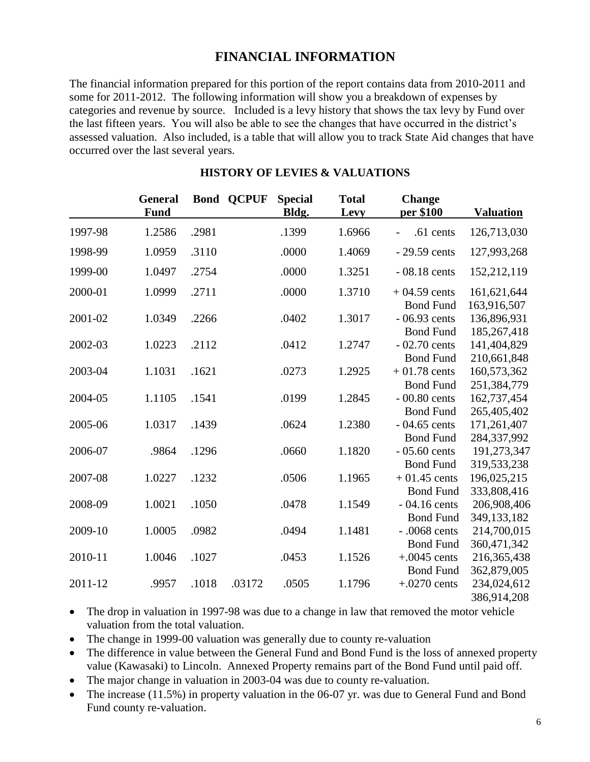### **FINANCIAL INFORMATION**

The financial information prepared for this portion of the report contains data from 2010-2011 and some for 2011-2012. The following information will show you a breakdown of expenses by categories and revenue by source. Included is a levy history that shows the tax levy by Fund over the last fifteen years. You will also be able to see the changes that have occurred in the district's assessed valuation. Also included, is a table that will allow you to track State Aid changes that have occurred over the last several years.

|         | <b>General</b><br><b>Fund</b> |       | <b>Bond QCPUF</b> | <b>Special</b><br>Bldg. | <b>Total</b><br>Levy | <b>Change</b><br>per \$100         | <b>Valuation</b>           |
|---------|-------------------------------|-------|-------------------|-------------------------|----------------------|------------------------------------|----------------------------|
| 1997-98 | 1.2586                        | .2981 |                   | .1399                   | 1.6966               | .61 cents                          | 126,713,030                |
| 1998-99 | 1.0959                        | .3110 |                   | .0000                   | 1.4069               | $-29.59$ cents                     | 127,993,268                |
| 1999-00 | 1.0497                        | .2754 |                   | .0000                   | 1.3251               | $-08.18$ cents                     | 152,212,119                |
| 2000-01 | 1.0999                        | .2711 |                   | .0000                   | 1.3710               | $+04.59$ cents<br><b>Bond Fund</b> | 161,621,644<br>163,916,507 |
| 2001-02 | 1.0349                        | .2266 |                   | .0402                   | 1.3017               | $-06.93$ cents<br><b>Bond Fund</b> | 136,896,931<br>185,267,418 |
| 2002-03 | 1.0223                        | .2112 |                   | .0412                   | 1.2747               | $-02.70$ cents<br><b>Bond Fund</b> | 141,404,829<br>210,661,848 |
| 2003-04 | 1.1031                        | .1621 |                   | .0273                   | 1.2925               | $+01.78$ cents<br><b>Bond Fund</b> | 160,573,362<br>251,384,779 |
| 2004-05 | 1.1105                        | .1541 |                   | .0199                   | 1.2845               | $-00.80$ cents<br><b>Bond Fund</b> | 162,737,454<br>265,405,402 |
| 2005-06 | 1.0317                        | .1439 |                   | .0624                   | 1.2380               | $-04.65$ cents<br><b>Bond Fund</b> | 171,261,407<br>284,337,992 |
| 2006-07 | .9864                         | .1296 |                   | .0660                   | 1.1820               | $-05.60$ cents<br><b>Bond Fund</b> | 191,273,347<br>319,533,238 |
| 2007-08 | 1.0227                        | .1232 |                   | .0506                   | 1.1965               | $+01.45$ cents<br><b>Bond Fund</b> | 196,025,215<br>333,808,416 |
| 2008-09 | 1.0021                        | .1050 |                   | .0478                   | 1.1549               | $-04.16$ cents<br><b>Bond Fund</b> | 206,908,406<br>349,133,182 |
| 2009-10 | 1.0005                        | .0982 |                   | .0494                   | 1.1481               | $-.0068$ cents<br><b>Bond Fund</b> | 214,700,015<br>360,471,342 |
| 2010-11 | 1.0046                        | .1027 |                   | .0453                   | 1.1526               | $+.0045$ cents<br><b>Bond Fund</b> | 216,365,438<br>362,879,005 |
| 2011-12 | .9957                         | .1018 | .03172            | .0505                   | 1.1796               | $+.0270$ cents                     | 234,024,612<br>386,914,208 |

#### **HISTORY OF LEVIES & VALUATIONS**

- The drop in valuation in 1997-98 was due to a change in law that removed the motor vehicle valuation from the total valuation.
- The change in 1999-00 valuation was generally due to county re-valuation
- The difference in value between the General Fund and Bond Fund is the loss of annexed property value (Kawasaki) to Lincoln. Annexed Property remains part of the Bond Fund until paid off.
- The major change in valuation in 2003-04 was due to county re-valuation.
- The increase (11.5%) in property valuation in the 06-07 yr. was due to General Fund and Bond Fund county re-valuation.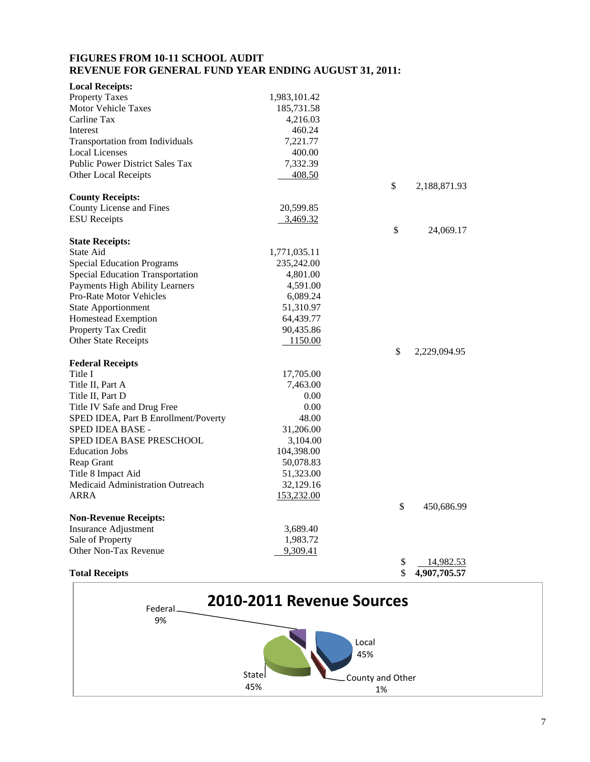#### **FIGURES FROM 10-11 SCHOOL AUDIT REVENUE FOR GENERAL FUND YEAR ENDING AUGUST 31, 2011:**

|            | \$                                                                                                                                                                                                                                                                               | 4,907,705.57   |                                           |
|------------|----------------------------------------------------------------------------------------------------------------------------------------------------------------------------------------------------------------------------------------------------------------------------------|----------------|-------------------------------------------|
|            | \$                                                                                                                                                                                                                                                                               | 14,982.53      |                                           |
| 9,309.41   |                                                                                                                                                                                                                                                                                  |                |                                           |
| 1,983.72   |                                                                                                                                                                                                                                                                                  |                |                                           |
| 3,689.40   |                                                                                                                                                                                                                                                                                  |                |                                           |
|            |                                                                                                                                                                                                                                                                                  |                |                                           |
|            | \$                                                                                                                                                                                                                                                                               | 450,686.99     |                                           |
|            |                                                                                                                                                                                                                                                                                  |                |                                           |
| 32,129.16  |                                                                                                                                                                                                                                                                                  |                |                                           |
| 51,323.00  |                                                                                                                                                                                                                                                                                  |                |                                           |
| 50,078.83  |                                                                                                                                                                                                                                                                                  |                |                                           |
| 104,398.00 |                                                                                                                                                                                                                                                                                  |                |                                           |
|            |                                                                                                                                                                                                                                                                                  |                |                                           |
| 31,206.00  |                                                                                                                                                                                                                                                                                  |                |                                           |
| 48.00      |                                                                                                                                                                                                                                                                                  |                |                                           |
| 0.00       |                                                                                                                                                                                                                                                                                  |                |                                           |
| 0.00       |                                                                                                                                                                                                                                                                                  |                |                                           |
| 7,463.00   |                                                                                                                                                                                                                                                                                  |                |                                           |
|            |                                                                                                                                                                                                                                                                                  |                |                                           |
|            |                                                                                                                                                                                                                                                                                  |                |                                           |
|            |                                                                                                                                                                                                                                                                                  |                |                                           |
|            |                                                                                                                                                                                                                                                                                  |                |                                           |
|            |                                                                                                                                                                                                                                                                                  |                |                                           |
|            |                                                                                                                                                                                                                                                                                  |                |                                           |
|            |                                                                                                                                                                                                                                                                                  |                |                                           |
|            |                                                                                                                                                                                                                                                                                  |                |                                           |
|            |                                                                                                                                                                                                                                                                                  |                |                                           |
|            |                                                                                                                                                                                                                                                                                  |                |                                           |
|            |                                                                                                                                                                                                                                                                                  |                |                                           |
|            |                                                                                                                                                                                                                                                                                  |                |                                           |
|            |                                                                                                                                                                                                                                                                                  |                |                                           |
|            |                                                                                                                                                                                                                                                                                  |                |                                           |
|            |                                                                                                                                                                                                                                                                                  |                |                                           |
|            |                                                                                                                                                                                                                                                                                  |                |                                           |
|            |                                                                                                                                                                                                                                                                                  |                |                                           |
|            |                                                                                                                                                                                                                                                                                  |                |                                           |
|            |                                                                                                                                                                                                                                                                                  |                |                                           |
|            |                                                                                                                                                                                                                                                                                  |                |                                           |
|            |                                                                                                                                                                                                                                                                                  |                |                                           |
|            |                                                                                                                                                                                                                                                                                  |                |                                           |
|            |                                                                                                                                                                                                                                                                                  |                |                                           |
|            |                                                                                                                                                                                                                                                                                  |                |                                           |
|            |                                                                                                                                                                                                                                                                                  |                |                                           |
|            |                                                                                                                                                                                                                                                                                  |                |                                           |
|            | 1,983,101.42<br>185,731.58<br>4,216.03<br>460.24<br>7,221.77<br>400.00<br>7,332.39<br>408.50<br>20,599.85<br>3,469.32<br>1,771,035.11<br>235,242.00<br>4,801.00<br>4,591.00<br>6,089.24<br>51,310.97<br>64,439.77<br>90,435.86<br>1150.00<br>17,705.00<br>3,104.00<br>153,232.00 | \$<br>\$<br>\$ | 2,188,871.93<br>24,069.17<br>2,229,094.95 |

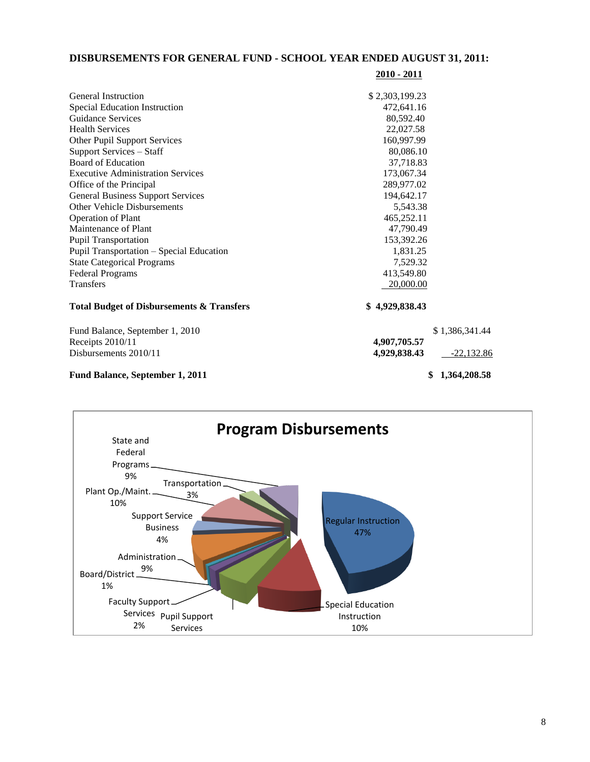#### **DISBURSEMENTS FOR GENERAL FUND - SCHOOL YEAR ENDED AUGUST 31, 2011:**

| <b>General Instruction</b>                           | \$2,303,199.23 |                |
|------------------------------------------------------|----------------|----------------|
| Special Education Instruction                        | 472,641.16     |                |
| <b>Guidance Services</b>                             | 80,592.40      |                |
| <b>Health Services</b>                               | 22,027.58      |                |
| Other Pupil Support Services                         | 160,997.99     |                |
| Support Services - Staff                             | 80,086.10      |                |
| Board of Education                                   | 37,718.83      |                |
| <b>Executive Administration Services</b>             | 173,067.34     |                |
| Office of the Principal                              | 289,977.02     |                |
| <b>General Business Support Services</b>             | 194,642.17     |                |
| <b>Other Vehicle Disbursements</b>                   | 5,543.38       |                |
| <b>Operation of Plant</b>                            | 465,252.11     |                |
| Maintenance of Plant                                 | 47,790.49      |                |
| <b>Pupil Transportation</b>                          | 153,392.26     |                |
| Pupil Transportation - Special Education             | 1,831.25       |                |
| <b>State Categorical Programs</b>                    | 7,529.32       |                |
| <b>Federal Programs</b>                              | 413,549.80     |                |
| <b>Transfers</b>                                     | 20,000.00      |                |
| <b>Total Budget of Disbursements &amp; Transfers</b> | \$4,929,838.43 |                |
| Fund Balance, September 1, 2010                      |                | \$1,386,341.44 |
| Receipts $2010/11$                                   | 4,907,705.57   |                |

Disbursements 2010/11 **4,929,838.43**  $-22,132.86$ 

## Fund Balance, September 1, 2011 **\$ 1,364,208.58**

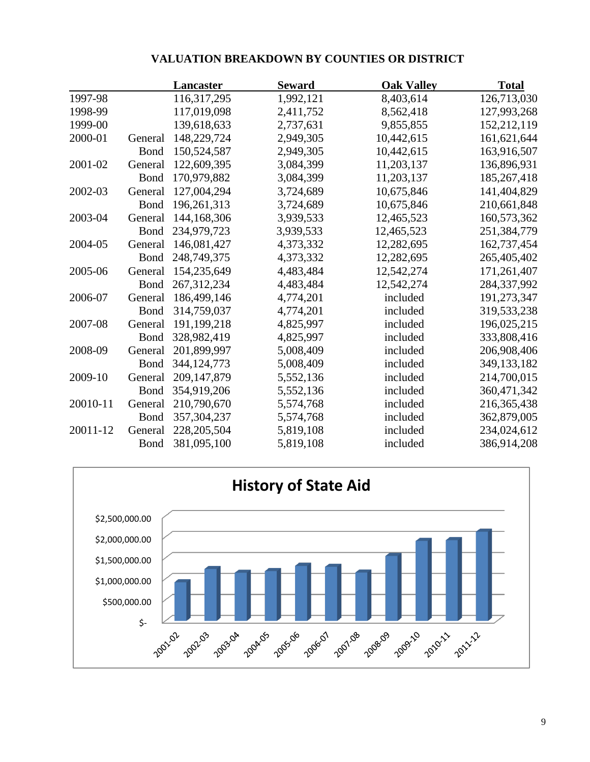|         |               |               | TALUATIVIA DIMAINDU ITA DI "COURTILED UN DIBTINICT |              |  |  |
|---------|---------------|---------------|----------------------------------------------------|--------------|--|--|
|         | Lancaster     | <b>Seward</b> | <b>Oak Valley</b>                                  | <b>Total</b> |  |  |
| 1997-98 | 116, 317, 295 | 1,992,121     | 8,403,614                                          | 126,713,030  |  |  |
| 1998-99 | 117,019,098   | 2,411,752     | 8,562,418                                          | 127,993,268  |  |  |
| 1999-00 | 139.618.633   | 2.737.631     | 9855855                                            | 152.212.119  |  |  |

#### **VALUATION BREAKDOWN BY COUNTIES OR DISTRICT**

| 1997-98  |              | 110.317.293   | 1,992,121 | 0.405.014  | 120,713,030 |
|----------|--------------|---------------|-----------|------------|-------------|
| 1998-99  |              | 117,019,098   | 2,411,752 | 8,562,418  | 127,993,268 |
| 1999-00  |              | 139,618,633   | 2,737,631 | 9,855,855  | 152,212,119 |
| 2000-01  | General      | 148,229,724   | 2,949,305 | 10,442,615 | 161,621,644 |
|          | <b>Bond</b>  | 150,524,587   | 2,949,305 | 10,442,615 | 163,916,507 |
| 2001-02  | General      | 122,609,395   | 3,084,399 | 11,203,137 | 136,896,931 |
|          | Bond         | 170,979,882   | 3,084,399 | 11,203,137 | 185,267,418 |
| 2002-03  | General      | 127,004,294   | 3,724,689 | 10,675,846 | 141,404,829 |
|          | <b>Bond</b>  | 196,261,313   | 3,724,689 | 10,675,846 | 210,661,848 |
| 2003-04  | General      | 144,168,306   | 3,939,533 | 12,465,523 | 160,573,362 |
|          | Bond         | 234,979,723   | 3,939,533 | 12,465,523 | 251,384,779 |
| 2004-05  | General      | 146,081,427   | 4,373,332 | 12,282,695 | 162,737,454 |
|          | <b>Bond</b>  | 248,749,375   | 4,373,332 | 12,282,695 | 265,405,402 |
| 2005-06  | General      | 154,235,649   | 4,483,484 | 12,542,274 | 171,261,407 |
|          | <b>B</b> ond | 267, 312, 234 | 4,483,484 | 12,542,274 | 284,337,992 |
| 2006-07  | General      | 186,499,146   | 4,774,201 | included   | 191,273,347 |
|          | Bond         | 314,759,037   | 4,774,201 | included   | 319,533,238 |
| 2007-08  | General      | 191,199,218   | 4,825,997 | included   | 196,025,215 |
|          | <b>Bond</b>  | 328,982,419   | 4,825,997 | included   | 333,808,416 |
| 2008-09  | General      | 201,899,997   | 5,008,409 | included   | 206,908,406 |
|          | <b>Bond</b>  | 344, 124, 773 | 5,008,409 | included   | 349,133,182 |
| 2009-10  | General      | 209, 147, 879 | 5,552,136 | included   | 214,700,015 |
|          | <b>Bond</b>  | 354,919,206   | 5,552,136 | included   | 360,471,342 |
| 20010-11 | General      | 210,790,670   | 5,574,768 | included   | 216,365,438 |
|          | Bond         | 357, 304, 237 | 5,574,768 | included   | 362,879,005 |
| 20011-12 | General      | 228, 205, 504 | 5,819,108 | included   | 234,024,612 |
|          | <b>Bond</b>  | 381,095,100   | 5,819,108 | included   | 386,914,208 |
|          |              |               |           |            |             |

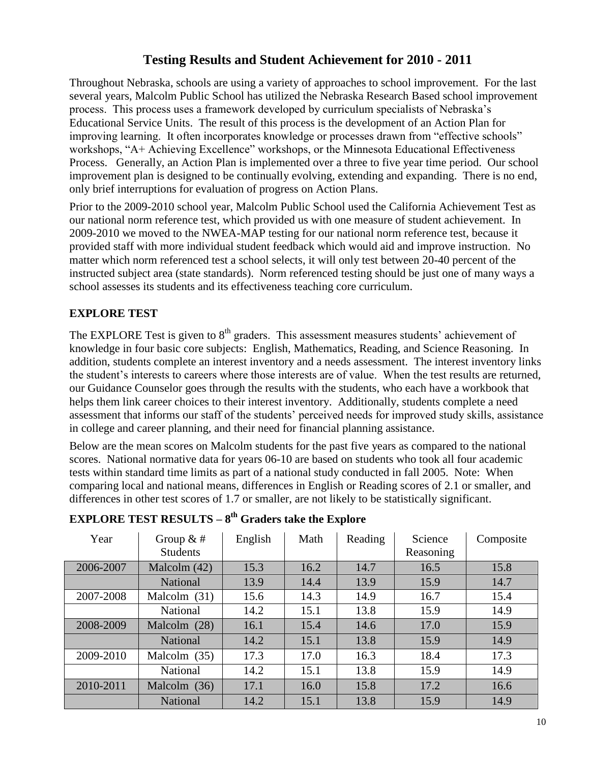# **Testing Results and Student Achievement for 2010 - 2011**

Throughout Nebraska, schools are using a variety of approaches to school improvement. For the last several years, Malcolm Public School has utilized the Nebraska Research Based school improvement process. This process uses a framework developed by curriculum specialists of Nebraska's Educational Service Units. The result of this process is the development of an Action Plan for improving learning. It often incorporates knowledge or processes drawn from "effective schools" workshops, "A+ Achieving Excellence" workshops, or the Minnesota Educational Effectiveness Process. Generally, an Action Plan is implemented over a three to five year time period. Our school improvement plan is designed to be continually evolving, extending and expanding. There is no end, only brief interruptions for evaluation of progress on Action Plans.

Prior to the 2009-2010 school year, Malcolm Public School used the California Achievement Test as our national norm reference test, which provided us with one measure of student achievement. In 2009-2010 we moved to the NWEA-MAP testing for our national norm reference test, because it provided staff with more individual student feedback which would aid and improve instruction. No matter which norm referenced test a school selects, it will only test between 20-40 percent of the instructed subject area (state standards). Norm referenced testing should be just one of many ways a school assesses its students and its effectiveness teaching core curriculum.

#### **EXPLORE TEST**

The EXPLORE Test is given to  $8<sup>th</sup>$  graders. This assessment measures students' achievement of knowledge in four basic core subjects: English, Mathematics, Reading, and Science Reasoning. In addition, students complete an interest inventory and a needs assessment. The interest inventory links the student's interests to careers where those interests are of value. When the test results are returned, our Guidance Counselor goes through the results with the students, who each have a workbook that helps them link career choices to their interest inventory. Additionally, students complete a need assessment that informs our staff of the students' perceived needs for improved study skills, assistance in college and career planning, and their need for financial planning assistance.

Below are the mean scores on Malcolm students for the past five years as compared to the national scores. National normative data for years 06-10 are based on students who took all four academic tests within standard time limits as part of a national study conducted in fall 2005. Note: When comparing local and national means, differences in English or Reading scores of 2.1 or smaller, and differences in other test scores of 1.7 or smaller, are not likely to be statistically significant.

| Year | Group $&#</math></th><th>English</th><th>Math</th><th>Reading</th><th>Science</th><th>Composite</th></tr><tr><td></td><td><b>Students</b></td><td></td><td></td><td></td><td>Reasoning</td><td></td></tr><tr><td>2006-2007</td><td>Malcolm <math>(42)</math></td><td>15.3</td><td>16.2</td><td>14.7</td><td>16.5</td><td>15.8</td></tr><tr><td></td><td><b>National</b></td><td>13.9</td><td>14.4</td><td>13.9</td><td>15.9</td><td>14.7</td></tr><tr><td>2007-2008</td><td>Malcolm (31)</td><td>15.6</td><td>14.3</td><td>14.9</td><td>16.7</td><td>15.4</td></tr><tr><td></td><td>National</td><td>14.2</td><td>15.1</td><td>13.8</td><td>15.9</td><td>14.9</td></tr><tr><td>2008-2009</td><td>Malcolm (28)</td><td>16.1</td><td>15.4</td><td>14.6</td><td>17.0</td><td>15.9</td></tr><tr><td></td><td><b>National</b></td><td>14.2</td><td>15.1</td><td>13.8</td><td>15.9</td><td>14.9</td></tr><tr><td>2009-2010</td><td>Malcolm <math>(35)</math></td><td>17.3</td><td>17.0</td><td>16.3</td><td>18.4</td><td>17.3</td></tr><tr><td></td><td>National</td><td>14.2</td><td>15.1</td><td>13.8</td><td>15.9</td><td>14.9</td></tr><tr><td>2010-2011</td><td>Malcolm (36)</td><td>17.1</td><td>16.0</td><td>15.8</td><td>17.2</td><td>16.6</td></tr><tr><td></td><td>National</td><td>14.2</td><td>15.1</td><td>13.8</td><td>15.9</td><td>14.9</td></tr></tbody></table>$ |
|------|-----------------------------------------------------------------------------------------------------------------------------------------------------------------------------------------------------------------------------------------------------------------------------------------------------------------------------------------------------------------------------------------------------------------------------------------------------------------------------------------------------------------------------------------------------------------------------------------------------------------------------------------------------------------------------------------------------------------------------------------------------------------------------------------------------------------------------------------------------------------------------------------------------------------------------------------------------------------------------------------------------------------------------------------------------------------------------------------------------------------------------------------------------------------------------------------------------------------------------------------------------------------------------------------------------------------------------------------------------------------------------|
|------|-----------------------------------------------------------------------------------------------------------------------------------------------------------------------------------------------------------------------------------------------------------------------------------------------------------------------------------------------------------------------------------------------------------------------------------------------------------------------------------------------------------------------------------------------------------------------------------------------------------------------------------------------------------------------------------------------------------------------------------------------------------------------------------------------------------------------------------------------------------------------------------------------------------------------------------------------------------------------------------------------------------------------------------------------------------------------------------------------------------------------------------------------------------------------------------------------------------------------------------------------------------------------------------------------------------------------------------------------------------------------------|

#### **EXPLORE TEST RESULTS – 8 th Graders take the Explore**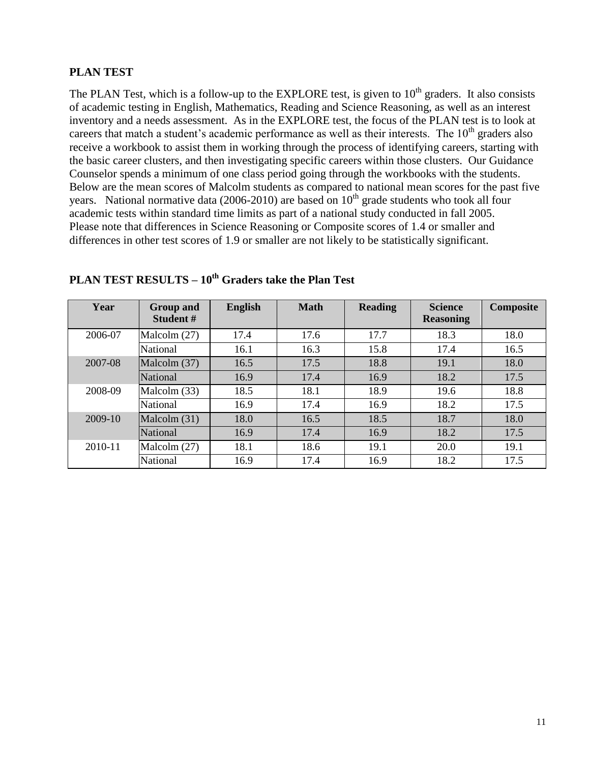#### **PLAN TEST**

The PLAN Test, which is a follow-up to the EXPLORE test, is given to 10<sup>th</sup> graders. It also consists of academic testing in English, Mathematics, Reading and Science Reasoning, as well as an interest inventory and a needs assessment. As in the EXPLORE test, the focus of the PLAN test is to look at careers that match a student's academic performance as well as their interests. The  $10<sup>th</sup>$  graders also receive a workbook to assist them in working through the process of identifying careers, starting with the basic career clusters, and then investigating specific careers within those clusters. Our Guidance Counselor spends a minimum of one class period going through the workbooks with the students. Below are the mean scores of Malcolm students as compared to national mean scores for the past five years. National normative data (2006-2010) are based on  $10<sup>th</sup>$  grade students who took all four academic tests within standard time limits as part of a national study conducted in fall 2005. Please note that differences in Science Reasoning or Composite scores of 1.4 or smaller and differences in other test scores of 1.9 or smaller are not likely to be statistically significant.

| Year    | <b>Group and</b><br>Student# | <b>English</b> | <b>Math</b> | <b>Reading</b> | <b>Science</b><br><b>Reasoning</b> | Composite |
|---------|------------------------------|----------------|-------------|----------------|------------------------------------|-----------|
| 2006-07 | Malcolm $(27)$               | 17.4           | 17.6        | 17.7           | 18.3                               | 18.0      |
|         | National                     | 16.1           | 16.3        | 15.8           | 17.4                               | 16.5      |
| 2007-08 | Malcolm (37)                 | 16.5           | 17.5        | 18.8           | 19.1                               | 18.0      |
|         | National                     | 16.9           | 17.4        | 16.9           | 18.2                               | 17.5      |
| 2008-09 | Malcolm (33)                 | 18.5           | 18.1        | 18.9           | 19.6                               | 18.8      |
|         | National                     | 16.9           | 17.4        | 16.9           | 18.2                               | 17.5      |
| 2009-10 | Malcolm (31)                 | 18.0           | 16.5        | 18.5           | 18.7                               | 18.0      |
|         | National                     | 16.9           | 17.4        | 16.9           | 18.2                               | 17.5      |
| 2010-11 | Malcolm $(27)$               | 18.1           | 18.6        | 19.1           | 20.0                               | 19.1      |
|         | National                     | 16.9           | 17.4        | 16.9           | 18.2                               | 17.5      |

## **PLAN TEST RESULTS – 10th Graders take the Plan Test**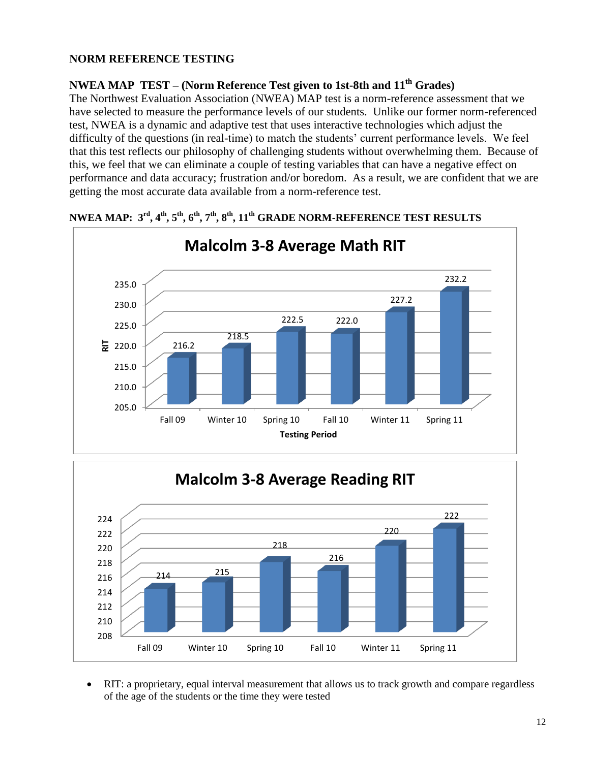#### **NORM REFERENCE TESTING**

#### **NWEA MAP TEST – (Norm Reference Test given to 1st-8th and 11th Grades)**

The Northwest Evaluation Association (NWEA) MAP test is a norm-reference assessment that we have selected to measure the performance levels of our students. Unlike our former norm-referenced test, NWEA is a dynamic and adaptive test that uses interactive technologies which adjust the difficulty of the questions (in real-time) to match the students' current performance levels. We feel that this test reflects our philosophy of challenging students without overwhelming them. Because of this, we feel that we can eliminate a couple of testing variables that can have a negative effect on performance and data accuracy; frustration and/or boredom. As a result, we are confident that we are getting the most accurate data available from a norm-reference test.



#### **NWEA MAP: 3rd, 4th, 5th, 6th, 7th, 8th, 11th GRADE NORM-REFERENCE TEST RESULTS**

# **Malcolm 3-8 Average Reading RIT**



 RIT: a proprietary, equal interval measurement that allows us to track growth and compare regardless of the age of the students or the time they were tested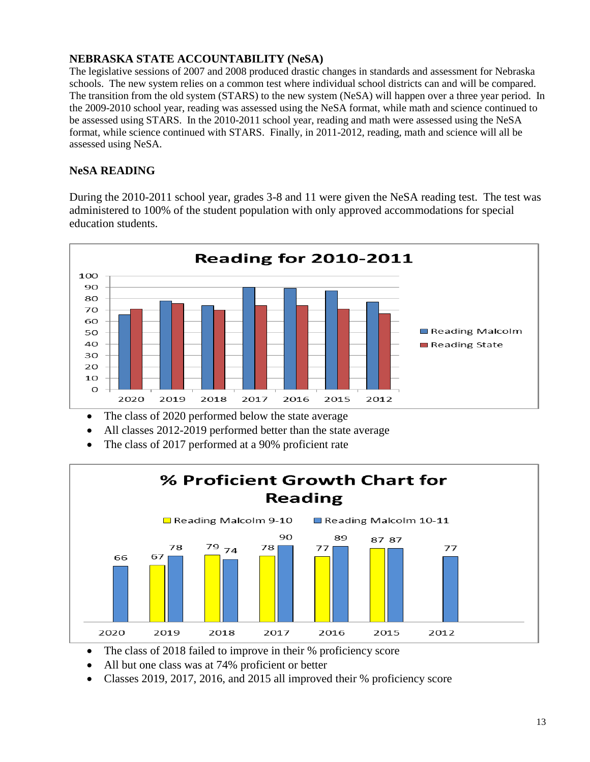#### **NEBRASKA STATE ACCOUNTABILITY (NeSA)**

The legislative sessions of 2007 and 2008 produced drastic changes in standards and assessment for Nebraska schools. The new system relies on a common test where individual school districts can and will be compared. The transition from the old system (STARS) to the new system (NeSA) will happen over a three year period. In the 2009-2010 school year, reading was assessed using the NeSA format, while math and science continued to be assessed using STARS. In the 2010-2011 school year, reading and math were assessed using the NeSA format, while science continued with STARS. Finally, in 2011-2012, reading, math and science will all be assessed using NeSA.

#### **NeSA READING**

During the 2010-2011 school year, grades 3-8 and 11 were given the NeSA reading test. The test was administered to 100% of the student population with only approved accommodations for special education students.



- The class of 2020 performed below the state average
- All classes 2012-2019 performed better than the state average
- The class of 2017 performed at a 90% proficient rate



- The class of 2018 failed to improve in their % proficiency score
- All but one class was at 74% proficient or better
- Classes 2019, 2017, 2016, and 2015 all improved their % proficiency score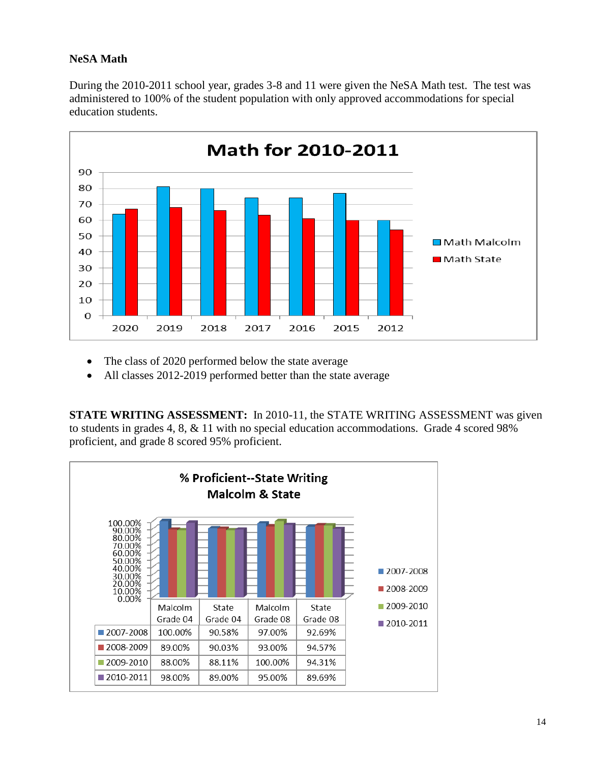#### **NeSA Math**

During the 2010-2011 school year, grades 3-8 and 11 were given the NeSA Math test. The test was administered to 100% of the student population with only approved accommodations for special education students.



- The class of 2020 performed below the state average
- All classes 2012-2019 performed better than the state average

**STATE WRITING ASSESSMENT:** In 2010-11, the STATE WRITING ASSESSMENT was given to students in grades 4, 8, & 11 with no special education accommodations. Grade 4 scored 98% proficient, and grade 8 scored 95% proficient.

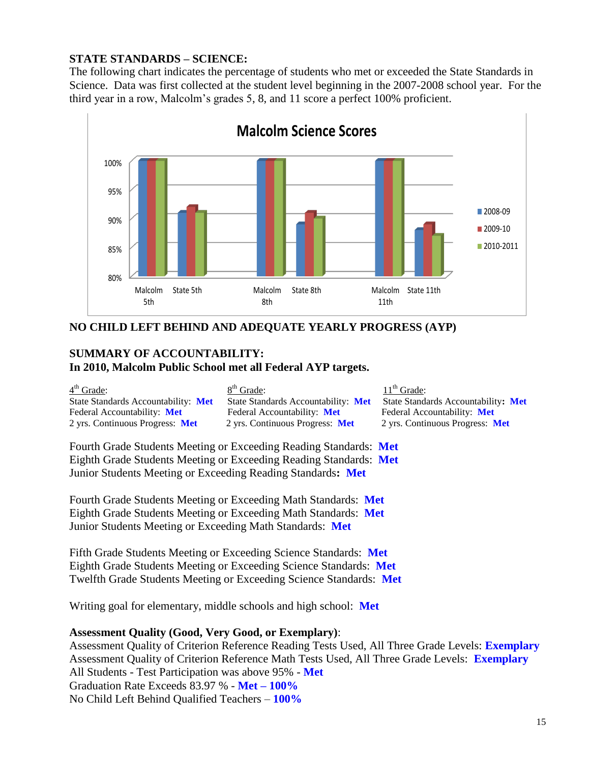#### **STATE STANDARDS – SCIENCE:**

The following chart indicates the percentage of students who met or exceeded the State Standards in Science. Data was first collected at the student level beginning in the 2007-2008 school year. For the third year in a row, Malcolm's grades 5, 8, and 11 score a perfect 100% proficient.



#### **NO CHILD LEFT BEHIND AND ADEQUATE YEARLY PROGRESS (AYP)**

#### **SUMMARY OF ACCOUNTABILITY: In 2010, Malcolm Public School met all Federal AYP targets.**

 $4<sup>th</sup>$  Grade: 8 Federal Accountability: **Met** Federal Accountability: **Met** Federal Accountability: **Met** 2 yrs. Continuous Progress: **Met** 2 yrs. Continuous Progress: **Met** 2 yrs. Continuous Progress: **Met**

 $8<sup>th</sup>$  Grade: 11<sup>th</sup> Grade:

State Standards Accountability: **Met** State Standards Accountability: **Met** State Standards Accountability**: Met**

Fourth Grade Students Meeting or Exceeding Reading Standards: **Met** Eighth Grade Students Meeting or Exceeding Reading Standards: **Met** Junior Students Meeting or Exceeding Reading Standards**: Met**

Fourth Grade Students Meeting or Exceeding Math Standards: **Met** Eighth Grade Students Meeting or Exceeding Math Standards: **Met** Junior Students Meeting or Exceeding Math Standards: **Met**

Fifth Grade Students Meeting or Exceeding Science Standards: **Met** Eighth Grade Students Meeting or Exceeding Science Standards: **Met** Twelfth Grade Students Meeting or Exceeding Science Standards: **Met**

Writing goal for elementary, middle schools and high school: **Met**

#### **Assessment Quality (Good, Very Good, or Exemplary)**:

Assessment Quality of Criterion Reference Reading Tests Used, All Three Grade Levels: **Exemplary** Assessment Quality of Criterion Reference Math Tests Used, All Three Grade Levels: **Exemplary** All Students - Test Participation was above 95% - **Met** Graduation Rate Exceeds 83.97 % - **Met – 100%** No Child Left Behind Qualified Teachers – **100%**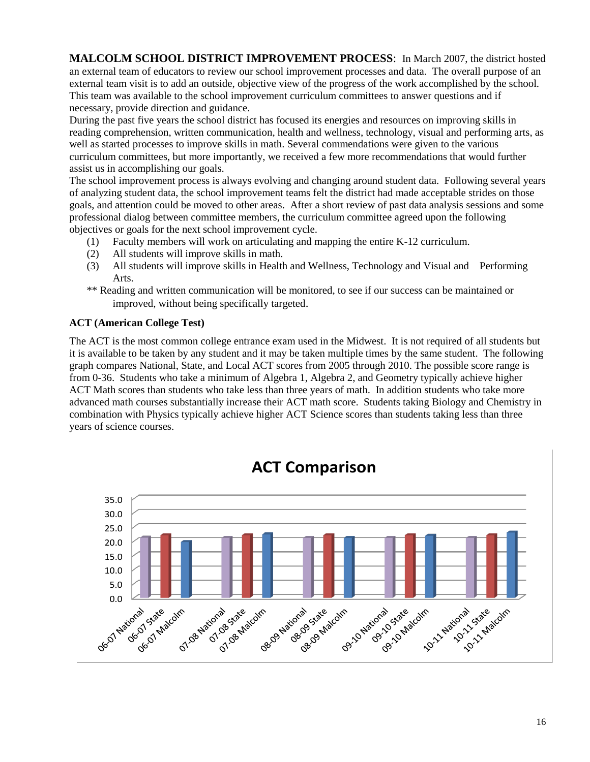**MALCOLM SCHOOL DISTRICT IMPROVEMENT PROCESS**: In March 2007, the district hosted an external team of educators to review our school improvement processes and data. The overall purpose of an external team visit is to add an outside, objective view of the progress of the work accomplished by the school. This team was available to the school improvement curriculum committees to answer questions and if necessary, provide direction and guidance.

During the past five years the school district has focused its energies and resources on improving skills in reading comprehension, written communication, health and wellness, technology, visual and performing arts, as well as started processes to improve skills in math. Several commendations were given to the various curriculum committees, but more importantly, we received a few more recommendations that would further assist us in accomplishing our goals.

The school improvement process is always evolving and changing around student data. Following several years of analyzing student data, the school improvement teams felt the district had made acceptable strides on those goals, and attention could be moved to other areas. After a short review of past data analysis sessions and some professional dialog between committee members, the curriculum committee agreed upon the following objectives or goals for the next school improvement cycle.

- (1) Faculty members will work on articulating and mapping the entire K-12 curriculum.
- (2) All students will improve skills in math.
- (3) All students will improve skills in Health and Wellness, Technology and Visual and Performing Arts.
- \*\* Reading and written communication will be monitored, to see if our success can be maintained or improved, without being specifically targeted.

#### **ACT (American College Test)**

The ACT is the most common college entrance exam used in the Midwest. It is not required of all students but it is available to be taken by any student and it may be taken multiple times by the same student. The following graph compares National, State, and Local ACT scores from 2005 through 2010. The possible score range is from 0-36. Students who take a minimum of Algebra 1, Algebra 2, and Geometry typically achieve higher ACT Math scores than students who take less than three years of math. In addition students who take more advanced math courses substantially increase their ACT math score. Students taking Biology and Chemistry in combination with Physics typically achieve higher ACT Science scores than students taking less than three years of science courses.



# **ACT Comparison**